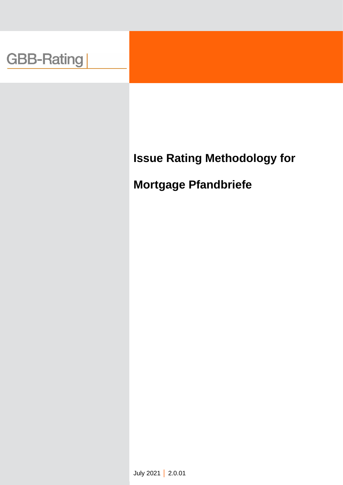## **Issue Rating Methodology for**

## **Mortgage Pfandbriefe**

July 2021 **│** 2.0.01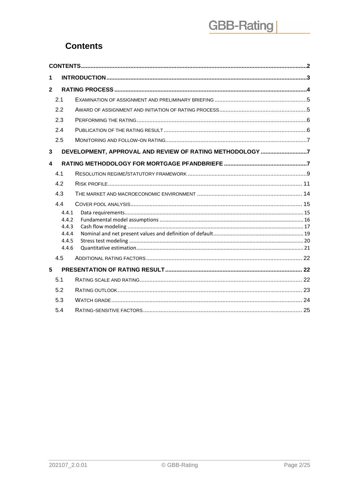### <span id="page-1-0"></span>**Contents**

| 1              |                |                                                          |  |
|----------------|----------------|----------------------------------------------------------|--|
| $\overline{2}$ |                |                                                          |  |
|                | 2.1            |                                                          |  |
|                | 2.2            |                                                          |  |
|                | 2.3            |                                                          |  |
|                | 2.4            |                                                          |  |
|                | 2.5            |                                                          |  |
| 3              |                | DEVELOPMENT, APPROVAL AND REVIEW OF RATING METHODOLOGY 7 |  |
| 4              |                |                                                          |  |
|                | 4.1            |                                                          |  |
|                | 4.2            |                                                          |  |
|                | 4.3            |                                                          |  |
|                | 4.4            |                                                          |  |
|                | 4.4.1          |                                                          |  |
|                | 4.4.2<br>4.4.3 |                                                          |  |
|                | 4.4.4          |                                                          |  |
|                | 4.4.5          |                                                          |  |
|                | 4.4.6          |                                                          |  |
|                | 4.5            |                                                          |  |
| 5              |                |                                                          |  |
|                | 5.1            |                                                          |  |
|                | 5.2            |                                                          |  |
|                | 5.3            |                                                          |  |
|                | 5.4            |                                                          |  |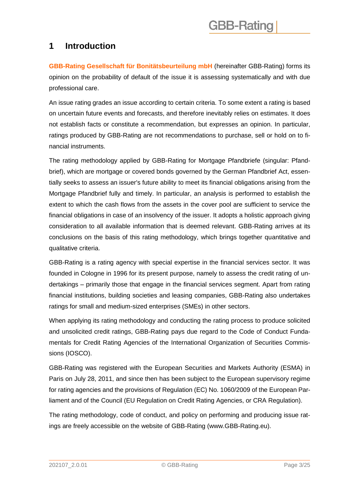### <span id="page-2-0"></span>**1 Introduction**

**GBB-Rating Gesellschaft für Bonitätsbeurteilung mbH** (hereinafter GBB-Rating) forms its opinion on the probability of default of the issue it is assessing systematically and with due professional care.

An issue rating grades an issue according to certain criteria. To some extent a rating is based on uncertain future events and forecasts, and therefore inevitably relies on estimates. It does not establish facts or constitute a recommendation, but expresses an opinion. In particular, ratings produced by GBB-Rating are not recommendations to purchase, sell or hold on to financial instruments.

The rating methodology applied by GBB-Rating for Mortgage Pfandbriefe (singular: Pfandbrief), which are mortgage or covered bonds governed by the German Pfandbrief Act, essentially seeks to assess an issuer's future ability to meet its financial obligations arising from the Mortgage Pfandbrief fully and timely. In particular, an analysis is performed to establish the extent to which the cash flows from the assets in the cover pool are sufficient to service the financial obligations in case of an insolvency of the issuer. It adopts a holistic approach giving consideration to all available information that is deemed relevant. GBB-Rating arrives at its conclusions on the basis of this rating methodology, which brings together quantitative and qualitative criteria.

GBB-Rating is a rating agency with special expertise in the financial services sector. It was founded in Cologne in 1996 for its present purpose, namely to assess the credit rating of undertakings – primarily those that engage in the financial services segment. Apart from rating financial institutions, building societies and leasing companies, GBB-Rating also undertakes ratings for small and medium-sized enterprises (SMEs) in other sectors.

When applying its rating methodology and conducting the rating process to produce solicited and unsolicited credit ratings, GBB-Rating pays due regard to the Code of Conduct Fundamentals for Credit Rating Agencies of the International Organization of Securities Commissions (IOSCO).

GBB-Rating was registered with the European Securities and Markets Authority (ESMA) in Paris on July 28, 2011, and since then has been subject to the European supervisory regime for rating agencies and the provisions of Regulation (EC) No. 1060/2009 of the European Parliament and of the Council (EU Regulation on Credit Rating Agencies, or CRA Regulation).

The rating methodology, code of conduct, and policy on performing and producing issue ratings are freely accessible on the website of GBB-Rating (www.GBB-Rating.eu).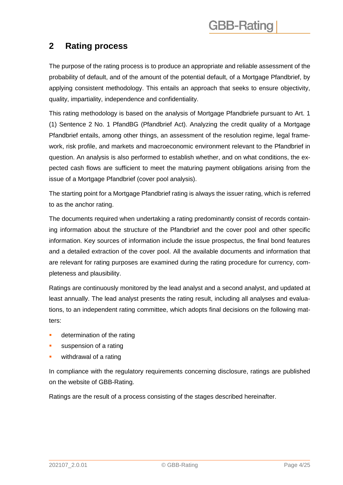### <span id="page-3-0"></span>**2 Rating process**

The purpose of the rating process is to produce an appropriate and reliable assessment of the probability of default, and of the amount of the potential default, of a Mortgage Pfandbrief, by applying consistent methodology. This entails an approach that seeks to ensure objectivity, quality, impartiality, independence and confidentiality.

This rating methodology is based on the analysis of Mortgage Pfandbriefe pursuant to Art. 1 (1) Sentence 2 No. 1 PfandBG (Pfandbrief Act). Analyzing the credit quality of a Mortgage Pfandbrief entails, among other things, an assessment of the resolution regime, legal framework, risk profile, and markets and macroeconomic environment relevant to the Pfandbrief in question. An analysis is also performed to establish whether, and on what conditions, the expected cash flows are sufficient to meet the maturing payment obligations arising from the issue of a Mortgage Pfandbrief (cover pool analysis).

The starting point for a Mortgage Pfandbrief rating is always the issuer rating, which is referred to as the anchor rating.

The documents required when undertaking a rating predominantly consist of records containing information about the structure of the Pfandbrief and the cover pool and other specific information. Key sources of information include the issue prospectus, the final bond features and a detailed extraction of the cover pool. All the available documents and information that are relevant for rating purposes are examined during the rating procedure for currency, completeness and plausibility.

Ratings are continuously monitored by the lead analyst and a second analyst, and updated at least annually. The lead analyst presents the rating result, including all analyses and evaluations, to an independent rating committee, which adopts final decisions on the following matters:

- determination of the rating
- suspension of a rating
- withdrawal of a rating

In compliance with the regulatory requirements concerning disclosure, ratings are published on the website of GBB-Rating.

Ratings are the result of a process consisting of the stages described hereinafter.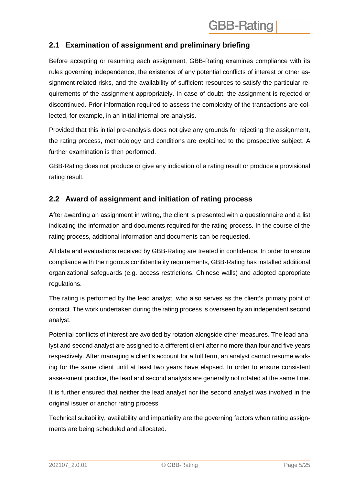#### <span id="page-4-0"></span>**2.1 Examination of assignment and preliminary briefing**

Before accepting or resuming each assignment, GBB-Rating examines compliance with its rules governing independence, the existence of any potential conflicts of interest or other assignment-related risks, and the availability of sufficient resources to satisfy the particular requirements of the assignment appropriately. In case of doubt, the assignment is rejected or discontinued. Prior information required to assess the complexity of the transactions are collected, for example, in an initial internal pre-analysis.

Provided that this initial pre-analysis does not give any grounds for rejecting the assignment, the rating process, methodology and conditions are explained to the prospective subject. A further examination is then performed.

GBB-Rating does not produce or give any indication of a rating result or produce a provisional rating result.

#### <span id="page-4-1"></span>**2.2 Award of assignment and initiation of rating process**

After awarding an assignment in writing, the client is presented with a questionnaire and a list indicating the information and documents required for the rating process. In the course of the rating process, additional information and documents can be requested.

All data and evaluations received by GBB-Rating are treated in confidence. In order to ensure compliance with the rigorous confidentiality requirements, GBB-Rating has installed additional organizational safeguards (e.g. access restrictions, Chinese walls) and adopted appropriate regulations.

The rating is performed by the lead analyst, who also serves as the client's primary point of contact. The work undertaken during the rating process is overseen by an independent second analyst.

Potential conflicts of interest are avoided by rotation alongside other measures. The lead analyst and second analyst are assigned to a different client after no more than four and five years respectively. After managing a client's account for a full term, an analyst cannot resume working for the same client until at least two years have elapsed. In order to ensure consistent assessment practice, the lead and second analysts are generally not rotated at the same time.

It is further ensured that neither the lead analyst nor the second analyst was involved in the original issuer or anchor rating process.

Technical suitability, availability and impartiality are the governing factors when rating assignments are being scheduled and allocated.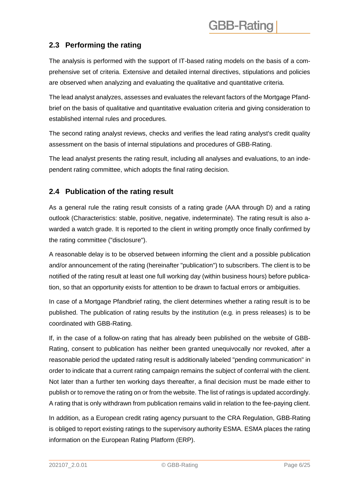### <span id="page-5-0"></span>**2.3 Performing the rating**

The analysis is performed with the support of IT-based rating models on the basis of a comprehensive set of criteria. Extensive and detailed internal directives, stipulations and policies are observed when analyzing and evaluating the qualitative and quantitative criteria.

The lead analyst analyzes, assesses and evaluates the relevant factors of the Mortgage Pfandbrief on the basis of qualitative and quantitative evaluation criteria and giving consideration to established internal rules and procedures.

The second rating analyst reviews, checks and verifies the lead rating analyst's credit quality assessment on the basis of internal stipulations and procedures of GBB-Rating.

The lead analyst presents the rating result, including all analyses and evaluations, to an independent rating committee, which adopts the final rating decision.

#### <span id="page-5-1"></span>**2.4 Publication of the rating result**

As a general rule the rating result consists of a rating grade (AAA through D) and a rating outlook (Characteristics: stable, positive, negative, indeterminate). The rating result is also awarded a watch grade. It is reported to the client in writing promptly once finally confirmed by the rating committee ("disclosure").

A reasonable delay is to be observed between informing the client and a possible publication and/or announcement of the rating (hereinafter "publication") to subscribers. The client is to be notified of the rating result at least one full working day (within business hours) before publication, so that an opportunity exists for attention to be drawn to factual errors or ambiguities.

In case of a Mortgage Pfandbrief rating, the client determines whether a rating result is to be published. The publication of rating results by the institution (e.g. in press releases) is to be coordinated with GBB-Rating.

If, in the case of a follow-on rating that has already been published on the website of GBB-Rating, consent to publication has neither been granted unequivocally nor revoked, after a reasonable period the updated rating result is additionally labeled "pending communication" in order to indicate that a current rating campaign remains the subject of conferral with the client. Not later than a further ten working days thereafter, a final decision must be made either to publish or to remove the rating on or from the website. The list of ratings is updated accordingly. A rating that is only withdrawn from publication remains valid in relation to the fee-paying client.

In addition, as a European credit rating agency pursuant to the CRA Regulation, GBB-Rating is obliged to report existing ratings to the supervisory authority ESMA. ESMA places the rating information on the European Rating Platform (ERP).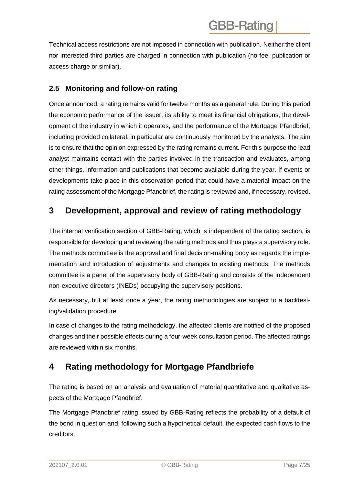Technical access restrictions are not imposed in connection with publication. Neither the client nor interested third parties are charged in connection with publication (no fee, publication or access charge or similar).

#### <span id="page-6-0"></span>**2.5 Monitoring and follow-on rating**

Once announced, a rating remains valid for twelve months as a general rule. During this period the economic performance of the issuer, its ability to meet its financial obligations, the development of the industry in which it operates, and the performance of the Mortgage Pfandbrief, including provided collateral, in particular are continuously monitored by the analysts. The aim is to ensure that the opinion expressed by the rating remains current. For this purpose the lead analyst maintains contact with the parties involved in the transaction and evaluates, among other things, information and publications that become available during the year. If events or developments take place in this observation period that could have a material impact on the rating assessment of the Mortgage Pfandbrief, the rating is reviewed and, if necessary, revised.

### <span id="page-6-1"></span>**3 Development, approval and review of rating methodology**

The internal verification section of GBB-Rating, which is independent of the rating section, is responsible for developing and reviewing the rating methods and thus plays a supervisory role. The methods committee is the approval and final decision-making body as regards the implementation and introduction of adjustments and changes to existing methods. The methods committee is a panel of the supervisory body of GBB-Rating and consists of the independent non-executive directors (INEDs) occupying the supervisory positions.

As necessary, but at least once a year, the rating methodologies are subject to a backtesting/validation procedure.

In case of changes to the rating methodology, the affected clients are notified of the proposed changes and their possible effects during a four-week consultation period. The affected ratings are reviewed within six months.

### <span id="page-6-2"></span>**4 Rating methodology for Mortgage Pfandbriefe**

The rating is based on an analysis and evaluation of material quantitative and qualitative aspects of the Mortgage Pfandbrief.

The Mortgage Pfandbrief rating issued by GBB-Rating reflects the probability of a default of the bond in question and, following such a hypothetical default, the expected cash flows to the creditors.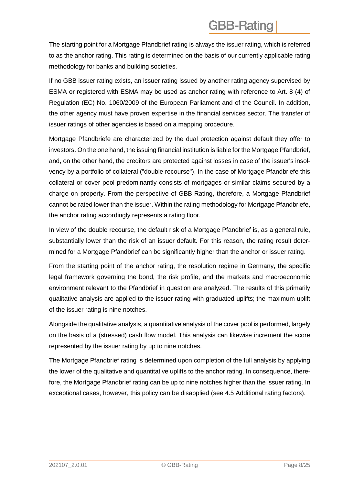The starting point for a Mortgage Pfandbrief rating is always the issuer rating, which is referred to as the anchor rating. This rating is determined on the basis of our currently applicable rating methodology for banks and building societies.

If no GBB issuer rating exists, an issuer rating issued by another rating agency supervised by ESMA or registered with ESMA may be used as anchor rating with reference to Art. 8 (4) of Regulation (EC) No. 1060/2009 of the European Parliament and of the Council. In addition, the other agency must have proven expertise in the financial services sector. The transfer of issuer ratings of other agencies is based on a mapping procedure.

Mortgage Pfandbriefe are characterized by the dual protection against default they offer to investors. On the one hand, the issuing financial institution is liable for the Mortgage Pfandbrief, and, on the other hand, the creditors are protected against losses in case of the issuer's insolvency by a portfolio of collateral ("double recourse"). In the case of Mortgage Pfandbriefe this collateral or cover pool predominantly consists of mortgages or similar claims secured by a charge on property. From the perspective of GBB-Rating, therefore, a Mortgage Pfandbrief cannot be rated lower than the issuer. Within the rating methodology for Mortgage Pfandbriefe, the anchor rating accordingly represents a rating floor.

In view of the double recourse, the default risk of a Mortgage Pfandbrief is, as a general rule, substantially lower than the risk of an issuer default. For this reason, the rating result determined for a Mortgage Pfandbrief can be significantly higher than the anchor or issuer rating.

From the starting point of the anchor rating, the resolution regime in Germany, the specific legal framework governing the bond, the risk profile, and the markets and macroeconomic environment relevant to the Pfandbrief in question are analyzed. The results of this primarily qualitative analysis are applied to the issuer rating with graduated uplifts; the maximum uplift of the issuer rating is nine notches.

Alongside the qualitative analysis, a quantitative analysis of the cover pool is performed, largely on the basis of a (stressed) cash flow model. This analysis can likewise increment the score represented by the issuer rating by up to nine notches.

The Mortgage Pfandbrief rating is determined upon completion of the full analysis by applying the lower of the qualitative and quantitative uplifts to the anchor rating. In consequence, therefore, the Mortgage Pfandbrief rating can be up to nine notches higher than the issuer rating. In exceptional cases, however, this policy can be disapplied (see 4.5 Additional rating factors).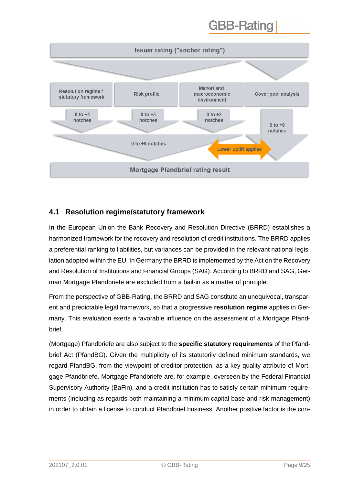

#### <span id="page-8-0"></span>**4.1 Resolution regime/statutory framework**

In the European Union the Bank Recovery and Resolution Directive (BRRD) establishes a harmonized framework for the recovery and resolution of credit institutions. The BRRD applies a preferential ranking to liabilities, but variances can be provided in the relevant national legislation adopted within the EU. In Germany the BRRD is implemented by the Act on the Recovery and Resolution of Institutions and Financial Groups (SAG). According to BRRD and SAG, German Mortgage Pfandbriefe are excluded from a bail-in as a matter of principle.

From the perspective of GBB-Rating, the BRRD and SAG constitute an unequivocal, transparent and predictable legal framework, so that a progressive **resolution regime** applies in Germany. This evaluation exerts a favorable influence on the assessment of a Mortgage Pfandbrief.

(Mortgage) Pfandbriefe are also subject to the **specific statutory requirements** of the Pfandbrief Act (PfandBG). Given the multiplicity of its statutorily defined minimum standards, we regard PfandBG, from the viewpoint of creditor protection, as a key quality attribute of Mortgage Pfandbriefe. Mortgage Pfandbriefe are, for example, overseen by the Federal Financial Supervisory Authority (BaFin), and a credit institution has to satisfy certain minimum requirements (including as regards both maintaining a minimum capital base and risk management) in order to obtain a license to conduct Pfandbrief business. Another positive factor is the con-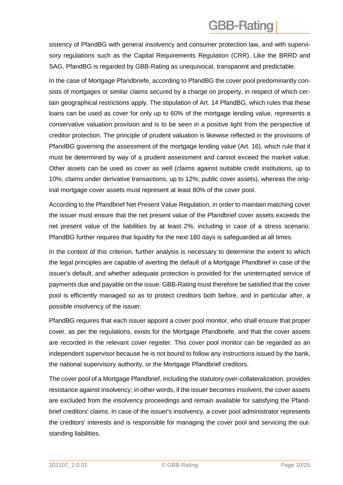sistency of PfandBG with general insolvency and consumer protection law, and with supervisory regulations such as the Capital Requirements Regulation (CRR). Like the BRRD and SAG, PfandBG is regarded by GBB-Rating as unequivocal, transparent and predictable.

In the case of Mortgage Pfandbriefe, according to PfandBG the cover pool predominantly consists of mortgages or similar claims secured by a charge on property, in respect of which certain geographical restrictions apply. The stipulation of Art. 14 PfandBG, which rules that these loans can be used as cover for only up to 60% of the mortgage lending value, represents a conservative valuation provision and is to be seen in a positive light from the perspective of creditor protection. The principle of prudent valuation is likewise reflected in the provisions of PfandBG governing the assessment of the mortgage lending value (Art. 16), which rule that it must be determined by way of a prudent assessment and cannot exceed the market value. Other assets can be used as cover as well (claims against suitable credit institutions, up to 10%; claims under derivative transactions, up to 12%; public cover assets), whereas the original mortgage cover assets must represent at least 80% of the cover pool.

According to the Pfandbrief Net Present Value Regulation, in order to maintain matching cover the issuer must ensure that the net present value of the Pfandbrief cover assets exceeds the net present value of the liabilities by at least 2%, including in case of a stress scenario. PfandBG further requires that liquidity for the next 180 days is safeguarded at all times.

In the context of this criterion, further analysis is necessary to determine the extent to which the legal principles are capable of averting the default of a Mortgage Pfandbrief in case of the issuer's default, and whether adequate protection is provided for the uninterrupted service of payments due and payable on the issue. GBB-Rating must therefore be satisfied that the cover pool is efficiently managed so as to protect creditors both before, and in particular after, a possible insolvency of the issuer.

PfandBG requires that each issuer appoint a cover pool monitor, who shall ensure that proper cover, as per the regulations, exists for the Mortgage Pfandbriefe, and that the cover assets are recorded in the relevant cover register. This cover pool monitor can be regarded as an independent supervisor because he is not bound to follow any instructions issued by the bank, the national supervisory authority, or the Mortgage Pfandbrief creditors.

The cover pool of a Mortgage Pfandbrief, including the statutory over-collateralization, provides resistance against insolvency; in other words, if the issuer becomes insolvent, the cover assets are excluded from the insolvency proceedings and remain available for satisfying the Pfandbrief creditors' claims. In case of the issuer's insolvency, a cover pool administrator represents the creditors' interests and is responsible for managing the cover pool and servicing the outstanding liabilities.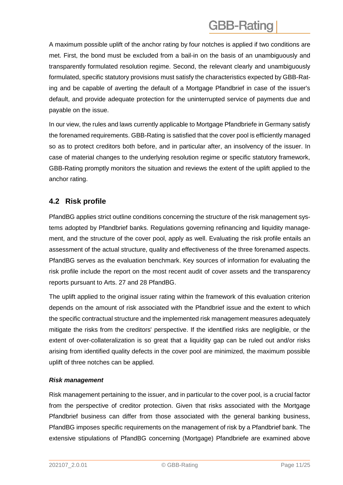A maximum possible uplift of the anchor rating by four notches is applied if two conditions are met. First, the bond must be excluded from a bail-in on the basis of an unambiguously and transparently formulated resolution regime. Second, the relevant clearly and unambiguously formulated, specific statutory provisions must satisfy the characteristics expected by GBB-Rating and be capable of averting the default of a Mortgage Pfandbrief in case of the issuer's default, and provide adequate protection for the uninterrupted service of payments due and payable on the issue.

In our view, the rules and laws currently applicable to Mortgage Pfandbriefe in Germany satisfy the forenamed requirements. GBB-Rating is satisfied that the cover pool is efficiently managed so as to protect creditors both before, and in particular after, an insolvency of the issuer. In case of material changes to the underlying resolution regime or specific statutory framework, GBB-Rating promptly monitors the situation and reviews the extent of the uplift applied to the anchor rating.

#### <span id="page-10-0"></span>**4.2 Risk profile**

PfandBG applies strict outline conditions concerning the structure of the risk management systems adopted by Pfandbrief banks. Regulations governing refinancing and liquidity management, and the structure of the cover pool, apply as well. Evaluating the risk profile entails an assessment of the actual structure, quality and effectiveness of the three forenamed aspects. PfandBG serves as the evaluation benchmark. Key sources of information for evaluating the risk profile include the report on the most recent audit of cover assets and the transparency reports pursuant to Arts. 27 and 28 PfandBG.

The uplift applied to the original issuer rating within the framework of this evaluation criterion depends on the amount of risk associated with the Pfandbrief issue and the extent to which the specific contractual structure and the implemented risk management measures adequately mitigate the risks from the creditors' perspective. If the identified risks are negligible, or the extent of over-collateralization is so great that a liquidity gap can be ruled out and/or risks arising from identified quality defects in the cover pool are minimized, the maximum possible uplift of three notches can be applied.

#### *Risk management*

Risk management pertaining to the issuer, and in particular to the cover pool, is a crucial factor from the perspective of creditor protection. Given that risks associated with the Mortgage Pfandbrief business can differ from those associated with the general banking business, PfandBG imposes specific requirements on the management of risk by a Pfandbrief bank. The extensive stipulations of PfandBG concerning (Mortgage) Pfandbriefe are examined above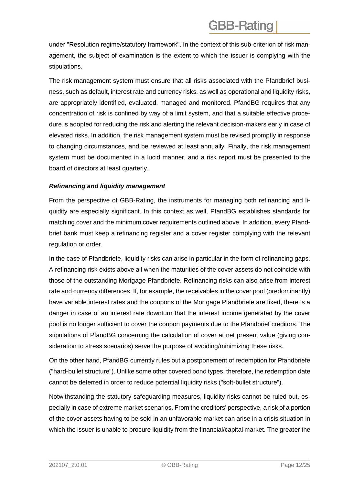under "Resolution regime/statutory framework". In the context of this sub-criterion of risk management, the subject of examination is the extent to which the issuer is complying with the stipulations.

The risk management system must ensure that all risks associated with the Pfandbrief business, such as default, interest rate and currency risks, as well as operational and liquidity risks, are appropriately identified, evaluated, managed and monitored. PfandBG requires that any concentration of risk is confined by way of a limit system, and that a suitable effective procedure is adopted for reducing the risk and alerting the relevant decision-makers early in case of elevated risks. In addition, the risk management system must be revised promptly in response to changing circumstances, and be reviewed at least annually. Finally, the risk management system must be documented in a lucid manner, and a risk report must be presented to the board of directors at least quarterly.

#### *Refinancing and liquidity management*

From the perspective of GBB-Rating, the instruments for managing both refinancing and liquidity are especially significant. In this context as well, PfandBG establishes standards for matching cover and the minimum cover requirements outlined above. In addition, every Pfandbrief bank must keep a refinancing register and a cover register complying with the relevant regulation or order.

In the case of Pfandbriefe, liquidity risks can arise in particular in the form of refinancing gaps. A refinancing risk exists above all when the maturities of the cover assets do not coincide with those of the outstanding Mortgage Pfandbriefe. Refinancing risks can also arise from interest rate and currency differences. If, for example, the receivables in the cover pool (predominantly) have variable interest rates and the coupons of the Mortgage Pfandbriefe are fixed, there is a danger in case of an interest rate downturn that the interest income generated by the cover pool is no longer sufficient to cover the coupon payments due to the Pfandbrief creditors. The stipulations of PfandBG concerning the calculation of cover at net present value (giving consideration to stress scenarios) serve the purpose of avoiding/minimizing these risks.

On the other hand, PfandBG currently rules out a postponement of redemption for Pfandbriefe ("hard-bullet structure"). Unlike some other covered bond types, therefore, the redemption date cannot be deferred in order to reduce potential liquidity risks ("soft-bullet structure").

Notwithstanding the statutory safeguarding measures, liquidity risks cannot be ruled out, especially in case of extreme market scenarios. From the creditors' perspective, a risk of a portion of the cover assets having to be sold in an unfavorable market can arise in a crisis situation in which the issuer is unable to procure liquidity from the financial/capital market. The greater the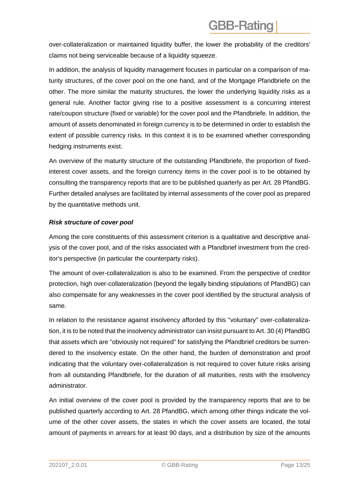over-collateralization or maintained liquidity buffer, the lower the probability of the creditors' claims not being serviceable because of a liquidity squeeze.

In addition, the analysis of liquidity management focuses in particular on a comparison of maturity structures, of the cover pool on the one hand, and of the Mortgage Pfandbriefe on the other. The more similar the maturity structures, the lower the underlying liquidity risks as a general rule. Another factor giving rise to a positive assessment is a concurring interest rate/coupon structure (fixed or variable) for the cover pool and the Pfandbriefe. In addition, the amount of assets denominated in foreign currency is to be determined in order to establish the extent of possible currency risks. In this context it is to be examined whether corresponding hedging instruments exist.

An overview of the maturity structure of the outstanding Pfandbriefe, the proportion of fixedinterest cover assets, and the foreign currency items in the cover pool is to be obtained by consulting the transparency reports that are to be published quarterly as per Art. 28 PfandBG. Further detailed analyses are facilitated by internal assessments of the cover pool as prepared by the quantitative methods unit.

#### *Risk structure of cover pool*

Among the core constituents of this assessment criterion is a qualitative and descriptive analysis of the cover pool, and of the risks associated with a Pfandbrief investment from the creditor's perspective (in particular the counterparty risks).

The amount of over-collateralization is also to be examined. From the perspective of creditor protection, high over-collateralization (beyond the legally binding stipulations of PfandBG) can also compensate for any weaknesses in the cover pool identified by the structural analysis of same.

In relation to the resistance against insolvency afforded by this "voluntary" over-collateralization, it is to be noted that the insolvency administrator can insist pursuant to Art. 30 (4) PfandBG that assets which are "obviously not required" for satisfying the Pfandbrief creditors be surrendered to the insolvency estate. On the other hand, the burden of demonstration and proof indicating that the voluntary over-collateralization is not required to cover future risks arising from all outstanding Pfandbriefe, for the duration of all maturities, rests with the insolvency administrator.

An initial overview of the cover pool is provided by the transparency reports that are to be published quarterly according to Art. 28 PfandBG, which among other things indicate the volume of the other cover assets, the states in which the cover assets are located, the total amount of payments in arrears for at least 90 days, and a distribution by size of the amounts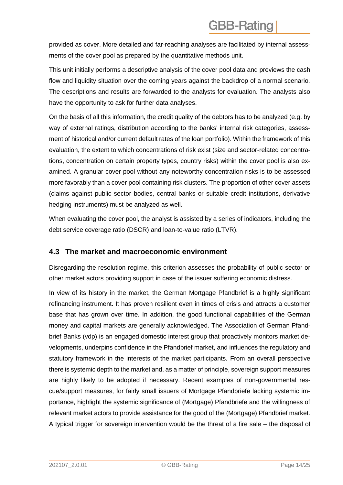provided as cover. More detailed and far-reaching analyses are facilitated by internal assessments of the cover pool as prepared by the quantitative methods unit.

This unit initially performs a descriptive analysis of the cover pool data and previews the cash flow and liquidity situation over the coming years against the backdrop of a normal scenario. The descriptions and results are forwarded to the analysts for evaluation. The analysts also have the opportunity to ask for further data analyses.

On the basis of all this information, the credit quality of the debtors has to be analyzed (e.g. by way of external ratings, distribution according to the banks' internal risk categories, assessment of historical and/or current default rates of the loan portfolio). Within the framework of this evaluation, the extent to which concentrations of risk exist (size and sector-related concentrations, concentration on certain property types, country risks) within the cover pool is also examined. A granular cover pool without any noteworthy concentration risks is to be assessed more favorably than a cover pool containing risk clusters. The proportion of other cover assets (claims against public sector bodies, central banks or suitable credit institutions, derivative hedging instruments) must be analyzed as well.

When evaluating the cover pool, the analyst is assisted by a series of indicators, including the debt service coverage ratio (DSCR) and loan-to-value ratio (LTVR).

#### <span id="page-13-0"></span>**4.3 The market and macroeconomic environment**

Disregarding the resolution regime, this criterion assesses the probability of public sector or other market actors providing support in case of the issuer suffering economic distress.

In view of its history in the market, the German Mortgage Pfandbrief is a highly significant refinancing instrument. It has proven resilient even in times of crisis and attracts a customer base that has grown over time. In addition, the good functional capabilities of the German money and capital markets are generally acknowledged. The Association of German Pfandbrief Banks (vdp) is an engaged domestic interest group that proactively monitors market developments, underpins confidence in the Pfandbrief market, and influences the regulatory and statutory framework in the interests of the market participants. From an overall perspective there is systemic depth to the market and, as a matter of principle, sovereign support measures are highly likely to be adopted if necessary. Recent examples of non-governmental rescue/support measures, for fairly small issuers of Mortgage Pfandbriefe lacking systemic importance, highlight the systemic significance of (Mortgage) Pfandbriefe and the willingness of relevant market actors to provide assistance for the good of the (Mortgage) Pfandbrief market. A typical trigger for sovereign intervention would be the threat of a fire sale – the disposal of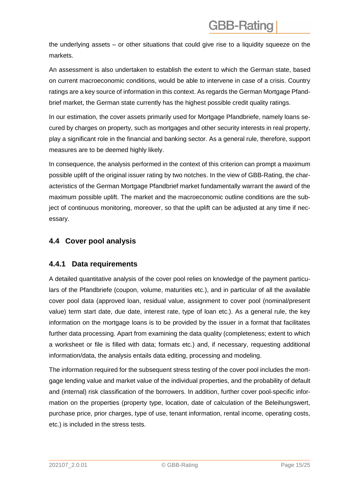the underlying assets – or other situations that could give rise to a liquidity squeeze on the markets.

An assessment is also undertaken to establish the extent to which the German state, based on current macroeconomic conditions, would be able to intervene in case of a crisis. Country ratings are a key source of information in this context. As regards the German Mortgage Pfandbrief market, the German state currently has the highest possible credit quality ratings.

In our estimation, the cover assets primarily used for Mortgage Pfandbriefe, namely loans secured by charges on property, such as mortgages and other security interests in real property, play a significant role in the financial and banking sector. As a general rule, therefore, support measures are to be deemed highly likely.

In consequence, the analysis performed in the context of this criterion can prompt a maximum possible uplift of the original issuer rating by two notches. In the view of GBB-Rating, the characteristics of the German Mortgage Pfandbrief market fundamentally warrant the award of the maximum possible uplift. The market and the macroeconomic outline conditions are the subject of continuous monitoring, moreover, so that the uplift can be adjusted at any time if necessary.

#### <span id="page-14-0"></span>**4.4 Cover pool analysis**

#### <span id="page-14-1"></span>**4.4.1 Data requirements**

A detailed quantitative analysis of the cover pool relies on knowledge of the payment particulars of the Pfandbriefe (coupon, volume, maturities etc.), and in particular of all the available cover pool data (approved loan, residual value, assignment to cover pool (nominal/present value) term start date, due date, interest rate, type of loan etc.). As a general rule, the key information on the mortgage loans is to be provided by the issuer in a format that facilitates further data processing. Apart from examining the data quality (completeness; extent to which a worksheet or file is filled with data; formats etc.) and, if necessary, requesting additional information/data, the analysis entails data editing, processing and modeling.

The information required for the subsequent stress testing of the cover pool includes the mortgage lending value and market value of the individual properties, and the probability of default and (internal) risk classification of the borrowers. In addition, further cover pool-specific information on the properties (property type, location, date of calculation of the Beleihungswert, purchase price, prior charges, type of use, tenant information, rental income, operating costs, etc.) is included in the stress tests.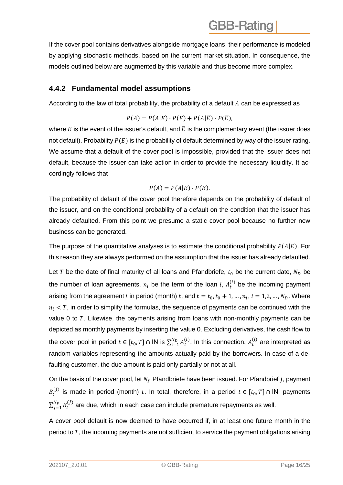If the cover pool contains derivatives alongside mortgage loans, their performance is modeled by applying stochastic methods, based on the current market situation. In consequence, the models outlined below are augmented by this variable and thus become more complex.

#### <span id="page-15-0"></span>**4.4.2 Fundamental model assumptions**

According to the law of total probability, the probability of a default  $A$  can be expressed as

$$
P(A) = P(A|E) \cdot P(E) + P(A|\overline{E}) \cdot P(\overline{E}),
$$

where  $E$  is the event of the issuer's default, and  $\bar{E}$  is the complementary event (the issuer does not default). Probability  $P(E)$  is the probability of default determined by way of the issuer rating. We assume that a default of the cover pool is impossible, provided that the issuer does not default, because the issuer can take action in order to provide the necessary liquidity. It accordingly follows that

$$
P(A) = P(A|E) \cdot P(E).
$$

The probability of default of the cover pool therefore depends on the probability of default of the issuer, and on the conditional probability of a default on the condition that the issuer has already defaulted. From this point we presume a static cover pool because no further new business can be generated.

The purpose of the quantitative analyses is to estimate the conditional probability  $P(A|E)$ . For this reason they are always performed on the assumption that the issuer has already defaulted.

Let T be the date of final maturity of all loans and Pfandbriefe,  $t_0$  be the current date,  $N_D$  be the number of loan agreements,  $n_i$  be the term of the loan i,  $A_t^{(i)}$  be the incoming payment arising from the agreement i in period (month) t, and  $t = t_0, t_0 + 1, ..., n_i, i = 1, 2, ..., N_D$ . Where  $n_i < T$ , in order to simplify the formulas, the sequence of payments can be continued with the value 0 to  $T$ . Likewise, the payments arising from loans with non-monthly payments can be depicted as monthly payments by inserting the value 0. Excluding derivatives, the cash flow to the cover pool in period  $t \in [t_0, T] \cap IN$  is  $\sum_{i=1}^{N_D} A_t^{(i)}$ . In this connection,  $A_t^{(i)}$  are interpreted as random variables representing the amounts actually paid by the borrowers. In case of a defaulting customer, the due amount is paid only partially or not at all.

On the basis of the cover pool, let  $N_P$  Pfandbriefe have been issued. For Pfandbrief *j*, payment  $B_t^{(j)}$  is made in period (month) t. In total, therefore, in a period  $t \in [t_0, T] \cap \mathsf{IN}$ , payments  $\sum_{j=1}^{N_P} B_t^{(j)}$  are due, which in each case can include premature repayments as well.

A cover pool default is now deemed to have occurred if, in at least one future month in the period to  $T$ , the incoming payments are not sufficient to service the payment obligations arising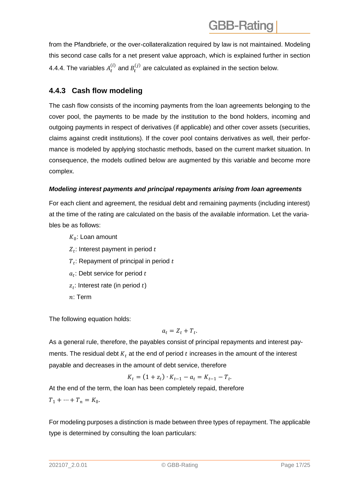from the Pfandbriefe, or the over-collateralization required by law is not maintained. Modeling this second case calls for a net present value approach, which is explained further in section 4.4.4. The variables  $A_t^{(i)}$  and  $B_t^{(j)}$  are calculated as explained in the section below.

### <span id="page-16-0"></span>**4.4.3 Cash flow modeling**

The cash flow consists of the incoming payments from the loan agreements belonging to the cover pool, the payments to be made by the institution to the bond holders, incoming and outgoing payments in respect of derivatives (if applicable) and other cover assets (securities, claims against credit institutions). If the cover pool contains derivatives as well, their performance is modeled by applying stochastic methods, based on the current market situation. In consequence, the models outlined below are augmented by this variable and become more complex.

#### *Modeling interest payments and principal repayments arising from loan agreements*

For each client and agreement, the residual debt and remaining payments (including interest) at the time of the rating are calculated on the basis of the available information. Let the variables be as follows:

- $K_{0}$ : Loan amount
- $\overline{Z}_t$ : Interest payment in period  $t$
- $\overline{T}_t$ : Repayment of principal in period  $t$
- $a_t$ : Debt service for period  $t$
- $z_t$ : Interest rate (in period  $t$ )
- $n$ : Term

The following equation holds:

$$
a_t = Z_t + T_t.
$$

As a general rule, therefore, the payables consist of principal repayments and interest payments. The residual debt  $K_t$  at the end of period  $t$  increases in the amount of the interest payable and decreases in the amount of debt service, therefore

$$
K_t = (1 + z_t) \cdot K_{t-1} - a_t = K_{t-1} - T_t.
$$

At the end of the term, the loan has been completely repaid, therefore  $T_1 + \cdots + T_n = K_0.$ 

For modeling purposes a distinction is made between three types of repayment. The applicable type is determined by consulting the loan particulars: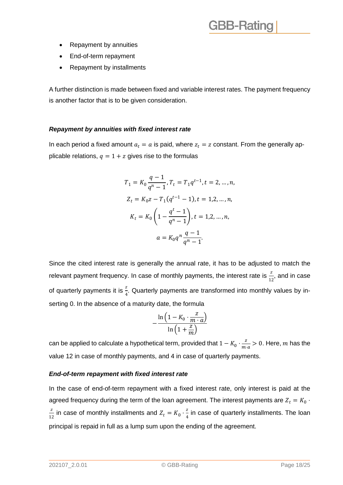- Repayment by annuities
- End-of-term repayment
- Repayment by installments

A further distinction is made between fixed and variable interest rates. The payment frequency is another factor that is to be given consideration.

#### *Repayment by annuities with fixed interest rate*

In each period a fixed amount  $a_t = a$  is paid, where  $z_t = z$  constant. From the generally applicable relations,  $q = 1 + z$  gives rise to the formulas

$$
T_1 = K_0 \frac{q-1}{q^n - 1}, T_t = T_1 q^{t-1}, t = 2, ..., n,
$$
  
\n
$$
Z_t = K_0 z - T_1 (q^{t-1} - 1), t = 1, 2, ..., n,
$$
  
\n
$$
K_t = K_0 \left( 1 - \frac{q^t - 1}{q^n - 1} \right), t = 1, 2, ..., n,
$$
  
\n
$$
a = K_0 q^n \frac{q-1}{q^n - 1}.
$$

Since the cited interest rate is generally the annual rate, it has to be adjusted to match the relevant payment frequency. In case of monthly payments, the interest rate is  $\frac{z}{12}$ , and in case of quarterly payments it is  $\frac{z}{4}$ . Quarterly payments are transformed into monthly values by inserting 0. In the absence of a maturity date, the formula

$$
-\frac{\ln\left(1-K_0\cdot\frac{z}{m\cdot a}\right)}{\ln\left(1+\frac{z}{m}\right)}
$$

can be applied to calculate a hypothetical term, provided that  $1 - K_0 \cdot \frac{z}{m}$  $\frac{2}{m \cdot a} > 0$ . Here, m has the value 12 in case of monthly payments, and 4 in case of quarterly payments.

#### *End-of-term repayment with fixed interest rate*

In the case of end-of-term repayment with a fixed interest rate, only interest is paid at the agreed frequency during the term of the loan agreement. The interest payments are  $Z_t = K_0 \cdot$ z  $\frac{z}{12}$  in case of monthly installments and  $Z_t = K_0 \cdot \frac{z}{4}$  $\frac{2}{4}$  in case of quarterly installments. The loan principal is repaid in full as a lump sum upon the ending of the agreement.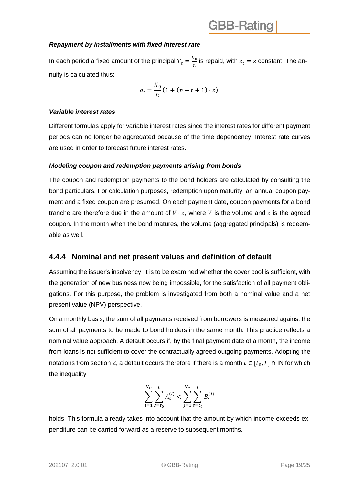#### *Repayment by installments with fixed interest rate*

In each period a fixed amount of the principal  $T_t = \frac{K_0}{n}$  $\frac{1}{n}$  is repaid, with  $z_t = z$  constant. The annuity is calculated thus:

$$
a_t = \frac{K_0}{n} \left( 1 + (n - t + 1) \cdot z \right).
$$

#### *Variable interest rates*

Different formulas apply for variable interest rates since the interest rates for different payment periods can no longer be aggregated because of the time dependency. Interest rate curves are used in order to forecast future interest rates.

#### *Modeling coupon and redemption payments arising from bonds*

The coupon and redemption payments to the bond holders are calculated by consulting the bond particulars. For calculation purposes, redemption upon maturity, an annual coupon payment and a fixed coupon are presumed. On each payment date, coupon payments for a bond tranche are therefore due in the amount of  $V \cdot z$ , where V is the volume and z is the agreed coupon. In the month when the bond matures, the volume (aggregated principals) is redeemable as well.

#### <span id="page-18-0"></span>**4.4.4 Nominal and net present values and definition of default**

Assuming the issuer's insolvency, it is to be examined whether the cover pool is sufficient, with the generation of new business now being impossible, for the satisfaction of all payment obligations. For this purpose, the problem is investigated from both a nominal value and a net present value (NPV) perspective.

On a monthly basis, the sum of all payments received from borrowers is measured against the sum of all payments to be made to bond holders in the same month. This practice reflects a nominal value approach. A default occurs if, by the final payment date of a month, the income from loans is not sufficient to cover the contractually agreed outgoing payments. Adopting the notations from section 2, a default occurs therefore if there is a month  $t \in [t_0, T] \cap \mathsf{IN}$  for which the inequality

$$
\sum_{i=1}^{N_D} \sum_{s=t_0}^t A_s^{(i)} < \sum_{j=1}^{N_P} \sum_{s=t_0}^t B_s^{(j)}
$$

holds. This formula already takes into account that the amount by which income exceeds expenditure can be carried forward as a reserve to subsequent months.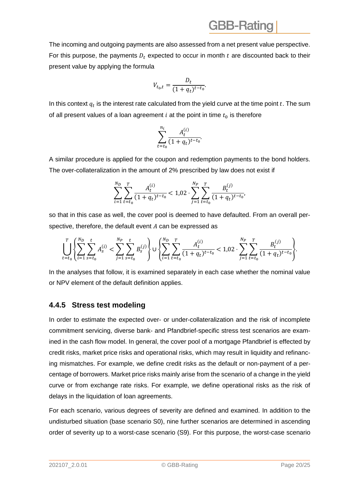The incoming and outgoing payments are also assessed from a net present value perspective. For this purpose, the payments  $D_t$  expected to occur in month  $t$  are discounted back to their present value by applying the formula

$$
V_{t_0,t} = \frac{D_t}{(1+q_t)^{t-t_0}}.
$$

In this context  $q_t$  is the interest rate calculated from the yield curve at the time point  $t$ . The sum of all present values of a loan agreement  $i$  at the point in time  $t_0$  is therefore

$$
\sum_{t=t_0}^{n_i} \frac{A_t^{(i)}}{(1+q_t)^{t-t_0}}.
$$

A similar procedure is applied for the coupon and redemption payments to the bond holders. The over-collateralization in the amount of 2% prescribed by law does not exist if

$$
\sum_{i=1}^{N_D} \sum_{t=t_0}^T \frac{A_t^{(i)}}{(1+q_t)^{t-t_0}} < 1.02 \cdot \sum_{j=1}^{N_P} \sum_{t=t_0}^T \frac{B_t^{(j)}}{(1+q_t)^{t-t_0}},
$$

so that in this case as well, the cover pool is deemed to have defaulted. From an overall perspective, therefore, the default event  $A$  can be expressed as

$$
\left(\prod_{t=t_0}^{T} \left\{\sum_{i=1}^{N_D} \sum_{s=t_0}^t A_s^{(i)} < \sum_{j=1}^{N_P} \sum_{s=t_0}^t B_s^{(j)}\right\} \cup \left\{\sum_{i=1}^{N_D} \sum_{t=t_0}^T \frac{A_t^{(i)}}{(1+q_t)^{t-t_0}} < 1,02 \cdot \sum_{j=1}^{N_P} \sum_{t=t_0}^T \frac{B_t^{(j)}}{(1+q_t)^{t-t_0}}\right\}.
$$

In the analyses that follow, it is examined separately in each case whether the nominal value or NPV element of the default definition applies.

#### <span id="page-19-0"></span>**4.4.5 Stress test modeling**

In order to estimate the expected over- or under-collateralization and the risk of incomplete commitment servicing, diverse bank- and Pfandbrief-specific stress test scenarios are examined in the cash flow model. In general, the cover pool of a mortgage Pfandbrief is effected by credit risks, market price risks and operational risks, which may result in liquidity and refinancing mismatches. For example, we define credit risks as the default or non-payment of a percentage of borrowers. Market price risks mainly arise from the scenario of a change in the yield curve or from exchange rate risks. For example, we define operational risks as the risk of delays in the liquidation of loan agreements.

For each scenario, various degrees of severity are defined and examined. In addition to the undisturbed situation (base scenario S0), nine further scenarios are determined in ascending order of severity up to a worst-case scenario (S9). For this purpose, the worst-case scenario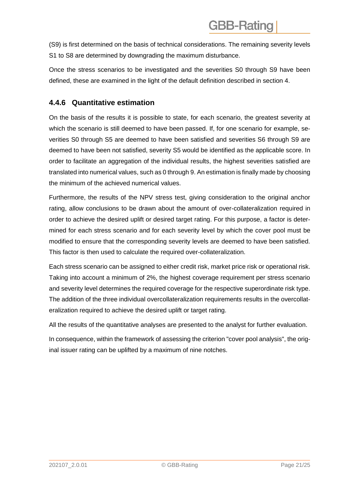(S9) is first determined on the basis of technical considerations. The remaining severity levels S1 to S8 are determined by downgrading the maximum disturbance.

Once the stress scenarios to be investigated and the severities S0 through S9 have been defined, these are examined in the light of the default definition described in section 4.

#### <span id="page-20-0"></span>**4.4.6 Quantitative estimation**

On the basis of the results it is possible to state, for each scenario, the greatest severity at which the scenario is still deemed to have been passed. If, for one scenario for example, severities S0 through S5 are deemed to have been satisfied and severities S6 through S9 are deemed to have been not satisfied, severity S5 would be identified as the applicable score. In order to facilitate an aggregation of the individual results, the highest severities satisfied are translated into numerical values, such as 0 through 9. An estimation is finally made by choosing the minimum of the achieved numerical values.

Furthermore, the results of the NPV stress test, giving consideration to the original anchor rating, allow conclusions to be drawn about the amount of over-collateralization required in order to achieve the desired uplift or desired target rating. For this purpose, a factor is determined for each stress scenario and for each severity level by which the cover pool must be modified to ensure that the corresponding severity levels are deemed to have been satisfied. This factor is then used to calculate the required over-collateralization.

Each stress scenario can be assigned to either credit risk, market price risk or operational risk. Taking into account a minimum of 2%, the highest coverage requirement per stress scenario and severity level determines the required coverage for the respective superordinate risk type. The addition of the three individual overcollateralization requirements results in the overcollateralization required to achieve the desired uplift or target rating.

All the results of the quantitative analyses are presented to the analyst for further evaluation.

In consequence, within the framework of assessing the criterion "cover pool analysis", the original issuer rating can be uplifted by a maximum of nine notches.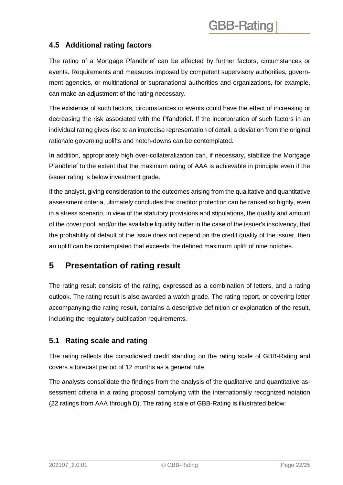#### <span id="page-21-0"></span>**4.5 Additional rating factors**

The rating of a Mortgage Pfandbrief can be affected by further factors, circumstances or events. Requirements and measures imposed by competent supervisory authorities, government agencies, or multinational or supranational authorities and organizations, for example, can make an adjustment of the rating necessary.

The existence of such factors, circumstances or events could have the effect of increasing or decreasing the risk associated with the Pfandbrief. If the incorporation of such factors in an individual rating gives rise to an imprecise representation of detail, a deviation from the original rationale governing uplifts and notch-downs can be contemplated.

In addition, appropriately high over-collateralization can, if necessary, stabilize the Mortgage Pfandbrief to the extent that the maximum rating of AAA is achievable in principle even if the issuer rating is below investment grade.

If the analyst, giving consideration to the outcomes arising from the qualitative and quantitative assessment criteria, ultimately concludes that creditor protection can be ranked so highly, even in a stress scenario, in view of the statutory provisions and stipulations, the quality and amount of the cover pool, and/or the available liquidity buffer in the case of the issuer's insolvency, that the probability of default of the issue does not depend on the credit quality of the issuer, then an uplift can be contemplated that exceeds the defined maximum uplift of nine notches.

### <span id="page-21-1"></span>**5 Presentation of rating result**

The rating result consists of the rating, expressed as a combination of letters, and a rating outlook. The rating result is also awarded a watch grade. The rating report, or covering letter accompanying the rating result, contains a descriptive definition or explanation of the result, including the regulatory publication requirements.

#### <span id="page-21-2"></span>**5.1 Rating scale and rating**

The rating reflects the consolidated credit standing on the rating scale of GBB-Rating and covers a forecast period of 12 months as a general rule.

The analysts consolidate the findings from the analysis of the qualitative and quantitative assessment criteria in a rating proposal complying with the internationally recognized notation (22 ratings from AAA through D). The rating scale of GBB-Rating is illustrated below: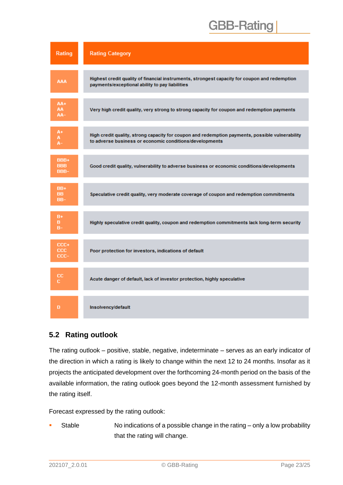| Rating                     | <b>Rating Category</b>                                                                                                                                     |
|----------------------------|------------------------------------------------------------------------------------------------------------------------------------------------------------|
| AAA                        | Highest credit quality of financial instruments, strongest capacity for coupon and redemption<br>payments/exceptional ability to pay liabilities           |
| AA+<br>AA.<br>AA-          | Very high credit quality, very strong to strong capacity for coupon and redemption payments                                                                |
| A+<br>Α.<br>A-             | High credit quality, strong capacity for coupon and redemption payments, possible vulnerability<br>to adverse business or economic conditions/developments |
| BBB+<br><b>BBB</b><br>BBB- | Good credit quality, vulnerability to adverse business or economic conditions/developments                                                                 |
| BB+<br>BB.<br>BB-          | Speculative credit quality, very moderate coverage of coupon and redemption commitments                                                                    |
| B+<br>в<br>$B-$            | Highly speculative credit quality, coupon and redemption commitments lack long-term security                                                               |
| CCC+<br><b>CCC</b><br>CCC- | Poor protection for investors, indications of default                                                                                                      |
| CC.<br>c.                  | Acute danger of default, lack of investor protection, highly speculative                                                                                   |
| D                          | Insolvency/default                                                                                                                                         |

#### <span id="page-22-0"></span>**5.2 Rating outlook**

The rating outlook – positive, stable, negative, indeterminate – serves as an early indicator of the direction in which a rating is likely to change within the next 12 to 24 months. Insofar as it projects the anticipated development over the forthcoming 24-month period on the basis of the available information, the rating outlook goes beyond the 12-month assessment furnished by the rating itself.

Forecast expressed by the rating outlook:

Stable No indications of a possible change in the rating – only a low probability that the rating will change.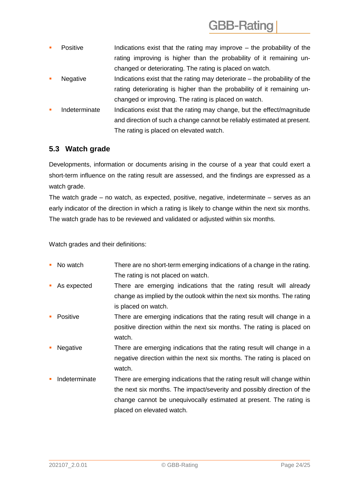- Positive Indications exist that the rating may improve the probability of the rating improving is higher than the probability of it remaining unchanged or deteriorating. The rating is placed on watch.
- Negative Indications exist that the rating may deteriorate the probability of the rating deteriorating is higher than the probability of it remaining unchanged or improving. The rating is placed on watch.
- Indeterminate Indications exist that the rating may change, but the effect/magnitude and direction of such a change cannot be reliably estimated at present. The rating is placed on elevated watch.

### <span id="page-23-0"></span>**5.3 Watch grade**

Developments, information or documents arising in the course of a year that could exert a short-term influence on the rating result are assessed, and the findings are expressed as a watch grade.

The watch grade – no watch, as expected, positive, negative, indeterminate – serves as an early indicator of the direction in which a rating is likely to change within the next six months. The watch grade has to be reviewed and validated or adjusted within six months.

Watch grades and their definitions:

- No watch There are no short-term emerging indications of a change in the rating. The rating is not placed on watch.
- As expected There are emerging indications that the rating result will already change as implied by the outlook within the next six months. The rating is placed on watch.
- **Positive** There are emerging indications that the rating result will change in a positive direction within the next six months. The rating is placed on watch.
- Negative There are emerging indications that the rating result will change in a negative direction within the next six months. The rating is placed on watch.
- Indeterminate There are emerging indications that the rating result will change within the next six months. The impact/severity and possibly direction of the change cannot be unequivocally estimated at present. The rating is placed on elevated watch.